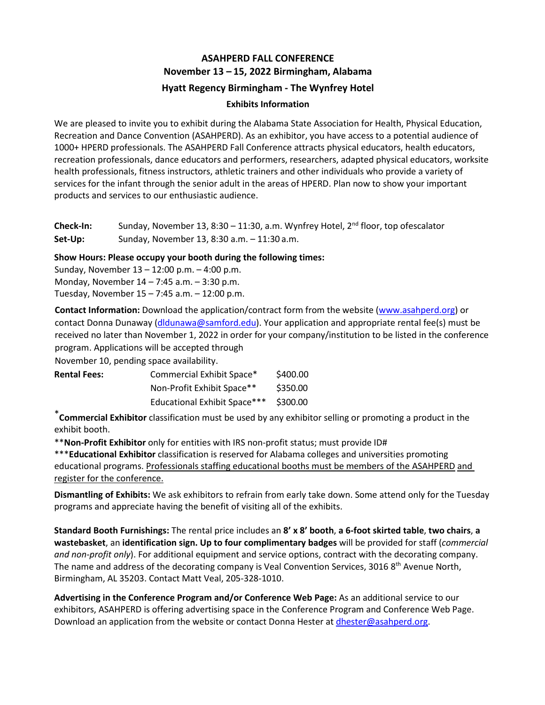# **ASAHPERD FALL CONFERENCE November 13 – 15, 2022 Birmingham, Alabama Hyatt Regency Birmingham - The Wynfrey Hotel**

## **Exhibits Information**

We are pleased to invite you to exhibit during the Alabama State Association for Health, Physical Education, Recreation and Dance Convention (ASAHPERD). As an exhibitor, you have access to a potential audience of 1000+ HPERD professionals. The ASAHPERD Fall Conference attracts physical educators, health educators, recreation professionals, dance educators and performers, researchers, adapted physical educators, worksite health professionals, fitness instructors, athletic trainers and other individuals who provide a variety of services for the infant through the senior adult in the areas of HPERD. Plan now to show your important products and services to our enthusiastic audience.

**Check-In:** Sunday, November 13, 8:30 – 11:30, a.m. Wynfrey Hotel, 2<sup>nd</sup> floor, top ofescalator **Set-Up:** Sunday, November 13, 8:30 a.m. – 11:30 a.m.

**Show Hours: Please occupy your booth during the following times:**

Sunday, November 13 – 12:00 p.m. – 4:00 p.m. Monday, November 14 – 7:45 a.m. – 3:30 p.m. Tuesday, November 15 – 7:45 a.m. – 12:00 p.m.

**Contact Information:** Download the application/contract form from the website [\(www.asahperd.org\) o](http://www.asahperd.org/)r contact Donna Du[naway \(dldunawa@](mailto:rrgold@samford.edu)samford.edu). Your application and appropriate rental fee(s) must be received no later than November 1, 2022 in order for your company/institution to be listed in the conference program. Applications will be accepted through

November 10, pending space availability.

| <b>Rental Fees:</b> | Commercial Exhibit Space*           | \$400.00 |  |
|---------------------|-------------------------------------|----------|--|
|                     | Non-Profit Exhibit Space**          | \$350.00 |  |
|                     | <b>Educational Exhibit Space***</b> | \$300.00 |  |

\***Commercial Exhibitor** classification must be used by any exhibitor selling or promoting a product in the exhibit booth.

\*\***Non-Profit Exhibitor** only for entities with IRS non-profit status; must provide ID#

\*\*\***Educational Exhibitor** classification is reserved for Alabama colleges and universities promoting educational programs. Professionals staffing educational booths must be members of the ASAHPERD and register for the conference.

**Dismantling of Exhibits:** We ask exhibitors to refrain from early take down. Some attend only for the Tuesday programs and appreciate having the benefit of visiting all of the exhibits.

**Standard Booth Furnishings:** The rental price includes an **8' x 8' booth**, **a 6-foot skirted table**, **two chairs**, **a wastebasket**, an **identification sign. Up to four complimentary badges** will be provided for staff (*commercial and non-profit only*). For additional equipment and service options, contract with the decorating company. The name and address of the decorating company is Veal Convention Services, 3016 8<sup>th</sup> Avenue North, Birmingham, AL 35203. Contact Matt Veal, 205-328-1010.

**Advertising in the Conference Program and/or Conference Web Page:** As an additional service to our exhibitors, ASAHPERD is offering advertising space in the Conference Program and Conference Web Page. Download an application from the website or contact Donna Hester a[t dhester@asahperd.org.](mailto:dhester@asahperd.org)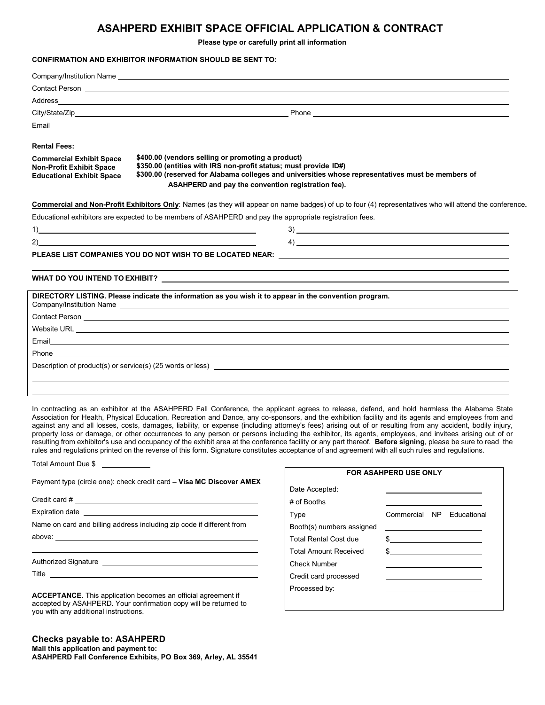## **ASAHPERD EXHIBIT SPACE OFFICIAL APPLICATION & CONTRACT**

**Please type or carefully print all information** 

#### **CONFIRMATION AND EXHIBITOR INFORMATION SHOULD BE SENT TO:**

|                                                                                                                                                                                                                                                                                                                                                                                            | Company/Institution Name <b>Example 2018</b>                                                                                                                                                                                                                                                                                       |  |  |  |  |
|--------------------------------------------------------------------------------------------------------------------------------------------------------------------------------------------------------------------------------------------------------------------------------------------------------------------------------------------------------------------------------------------|------------------------------------------------------------------------------------------------------------------------------------------------------------------------------------------------------------------------------------------------------------------------------------------------------------------------------------|--|--|--|--|
|                                                                                                                                                                                                                                                                                                                                                                                            |                                                                                                                                                                                                                                                                                                                                    |  |  |  |  |
|                                                                                                                                                                                                                                                                                                                                                                                            |                                                                                                                                                                                                                                                                                                                                    |  |  |  |  |
|                                                                                                                                                                                                                                                                                                                                                                                            |                                                                                                                                                                                                                                                                                                                                    |  |  |  |  |
|                                                                                                                                                                                                                                                                                                                                                                                            | Email <u>Communication and the communication of the communication</u>                                                                                                                                                                                                                                                              |  |  |  |  |
| <b>Rental Fees:</b>                                                                                                                                                                                                                                                                                                                                                                        |                                                                                                                                                                                                                                                                                                                                    |  |  |  |  |
| \$400.00 (vendors selling or promoting a product)<br><b>Commercial Exhibit Space</b><br>\$350.00 (entities with IRS non-profit status; must provide ID#)<br><b>Non-Profit Exhibit Space</b><br>\$300.00 (reserved for Alabama colleges and universities whose representatives must be members of<br><b>Educational Exhibit Space</b><br>ASAHPERD and pay the convention registration fee). |                                                                                                                                                                                                                                                                                                                                    |  |  |  |  |
|                                                                                                                                                                                                                                                                                                                                                                                            | Commercial and Non-Profit Exhibitors Only: Names (as they will appear on name badges) of up to four (4) representatives who will attend the conference.                                                                                                                                                                            |  |  |  |  |
|                                                                                                                                                                                                                                                                                                                                                                                            | Educational exhibitors are expected to be members of ASAHPERD and pay the appropriate registration fees.                                                                                                                                                                                                                           |  |  |  |  |
|                                                                                                                                                                                                                                                                                                                                                                                            | $\overline{1}$ )                                                                                                                                                                                                                                                                                                                   |  |  |  |  |
| (2)                                                                                                                                                                                                                                                                                                                                                                                        | $\overline{a}$ and $\overline{a}$ and $\overline{a}$ and $\overline{a}$ and $\overline{a}$ and $\overline{a}$ and $\overline{a}$ and $\overline{a}$ and $\overline{a}$ and $\overline{a}$ and $\overline{a}$ and $\overline{a}$ and $\overline{a}$ and $\overline{a}$ and $\overline{a}$ and $\overline{a}$ and $\overline{a}$ and |  |  |  |  |
|                                                                                                                                                                                                                                                                                                                                                                                            |                                                                                                                                                                                                                                                                                                                                    |  |  |  |  |
|                                                                                                                                                                                                                                                                                                                                                                                            | WHAT DO YOU INTEND TO EXHIBIT? NOTICELLY A SERVE THAT THE RELATION OF THE RELATION OF THE RELATION OF THE RELA                                                                                                                                                                                                                     |  |  |  |  |
|                                                                                                                                                                                                                                                                                                                                                                                            | DIRECTORY LISTING. Please indicate the information as you wish it to appear in the convention program.                                                                                                                                                                                                                             |  |  |  |  |
|                                                                                                                                                                                                                                                                                                                                                                                            |                                                                                                                                                                                                                                                                                                                                    |  |  |  |  |
|                                                                                                                                                                                                                                                                                                                                                                                            | Website URL Production of the contract of the contract of the contract of the contract of the contract of the contract of the contract of the contract of the contract of the contract of the contract of the contract of the                                                                                                      |  |  |  |  |
|                                                                                                                                                                                                                                                                                                                                                                                            |                                                                                                                                                                                                                                                                                                                                    |  |  |  |  |
|                                                                                                                                                                                                                                                                                                                                                                                            |                                                                                                                                                                                                                                                                                                                                    |  |  |  |  |
|                                                                                                                                                                                                                                                                                                                                                                                            | Description of product(s) or service(s) (25 words or less) examples and the service of product of product(s) or service(s) (25 words or less)                                                                                                                                                                                      |  |  |  |  |
|                                                                                                                                                                                                                                                                                                                                                                                            |                                                                                                                                                                                                                                                                                                                                    |  |  |  |  |

In contracting as an exhibitor at the ASAHPERD Fall Conference, the applicant agrees to release, defend, and hold harmless the Alabama State Association for Health, Physical Education, Recreation and Dance, any co-sponsors, and the exhibition facility and its agents and employees from and against any and all losses, costs, damages, liability, or expense (including attorney's fees) arising out of or resulting from any accident, bodily injury, property loss or damage, or other occurrences to any person or persons including the exhibitor, its agents, employees, and invitees arising out of or resulting from exhibitor's use and occupancy of the exhibit area at the conference facility or any part thereof. **Before signing**, please be sure to read the rules and regulations printed on the reverse of this form. Signature constitutes acceptance of and agreement with all such rules and regulations.

Total Amount Due \$

Payment type (circle one): check credit card **– Visa MC Discover AMEX**

Credit card #

Expiration date

Name on card and billing address including zip code if different from

above:

Authorized Signature

Title

**ACCEPTANCE**. This application becomes an official agreement if accepted by ASAHPERD. Your confirmation copy will be returned to you with any additional instructions.

#### **Checks payable to: ASAHPERD**

**Mail this application and payment to: ASAHPERD Fall Conference Exhibits, PO Box 369, Arley, AL 35541**

| <b>FOR ASAHPERD USE ONLY</b> |                           |  |  |  |  |  |
|------------------------------|---------------------------|--|--|--|--|--|
| Date Accepted:               |                           |  |  |  |  |  |
| # of Booths                  |                           |  |  |  |  |  |
| Type                         | Commercial NP Educational |  |  |  |  |  |
| Booth(s) numbers assigned    |                           |  |  |  |  |  |
| <b>Total Rental Cost due</b> | \$                        |  |  |  |  |  |
| <b>Total Amount Received</b> | \$                        |  |  |  |  |  |
| Check Number                 |                           |  |  |  |  |  |
| Credit card processed        |                           |  |  |  |  |  |
| Processed by:                |                           |  |  |  |  |  |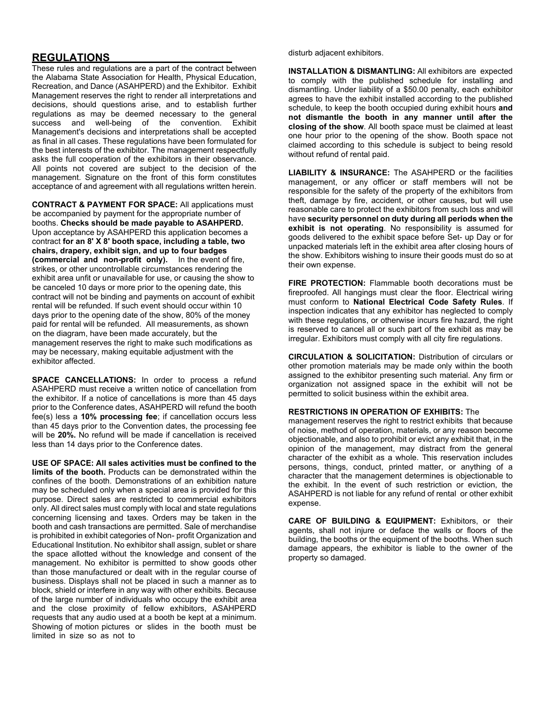## **REGULATIONS**

These rules and regulations are a part of the contract between the Alabama State Association for Health, Physical Education, Recreation, and Dance (ASAHPERD) and the Exhibitor. Exhibit Management reserves the right to render all interpretations and decisions, should questions arise, and to establish further regulations as may be deemed necessary to the general success and well-being of the convention. Exhibit Management's decisions and interpretations shall be accepted as final in all cases. These regulations have been formulated for the best interests of the exhibitor. The management respectfully asks the full cooperation of the exhibitors in their observance. All points not covered are subject to the decision of the management. Signature on the front of this form constitutes acceptance of and agreement with all regulations written herein.

**CONTRACT & PAYMENT FOR SPACE:** All applications must be accompanied by payment for the appropriate number of booths. **Checks should be made payable to ASAHPERD.**  Upon acceptance by ASAHPERD this application becomes a contract **for an 8' X 8' booth space, including a table, two chairs, drapery, exhibit sign, and up to four badges (commercial and non-profit only).** In the event of fire, strikes, or other uncontrollable circumstances rendering the exhibit area unfit or unavailable for use, or causing the show to be canceled 10 days or more prior to the opening date, this contract will not be binding and payments on account of exhibit rental will be refunded. If such event should occur within 10 days prior to the opening date of the show, 80% of the money paid for rental will be refunded. All measurements, as shown on the diagram, have been made accurately, but the management reserves the right to make such modifications as may be necessary, making equitable adjustment with the exhibitor affected.

**SPACE CANCELLATIONS:** In order to process a refund ASAHPERD must receive a written notice of cancellation from the exhibitor. If a notice of cancellations is more than 45 days prior to the Conference dates, ASAHPERD will refund the booth fee(s) less a **10% processing fee**; if cancellation occurs less than 45 days prior to the Convention dates, the processing fee will be **20%.** No refund will be made if cancellation is received less than 14 days prior to the Conference dates.

**USE OF SPACE: All sales activities must be confined to the limits of the booth.** Products can be demonstrated within the confines of the booth. Demonstrations of an exhibition nature may be scheduled only when a special area is provided for this purpose. Direct sales are restricted to commercial exhibitors only. All direct sales must comply with local and state regulations concerning licensing and taxes. Orders may be taken in the booth and cash transactions are permitted. Sale of merchandise is prohibited in exhibit categories of Non- profit Organization and Educational Institution. No exhibitor shall assign, sublet or share the space allotted without the knowledge and consent of the management. No exhibitor is permitted to show goods other than those manufactured or dealt with in the regular course of business. Displays shall not be placed in such a manner as to block, shield or interfere in any way with other exhibits. Because of the large number of individuals who occupy the exhibit area and the close proximity of fellow exhibitors, ASAHPERD requests that any audio used at a booth be kept at a minimum. Showing of motion pictures or slides in the booth must be limited in size so as not to

disturb adjacent exhibitors.

**INSTALLATION & DISMANTLING:** All exhibitors are expected to comply with the published schedule for installing and dismantling. Under liability of a \$50.00 penalty, each exhibitor agrees to have the exhibit installed according to the published schedule, to keep the booth occupied during exhibit hours **and not dismantle the booth in any manner until after the closing of the show**. All booth space must be claimed at least one hour prior to the opening of the show. Booth space not claimed according to this schedule is subject to being resold without refund of rental paid.

**LIABILITY & INSURANCE:** The ASAHPERD or the facilities management, or any officer or staff members will not be responsible for the safety of the property of the exhibitors from theft, damage by fire, accident, or other causes, but will use reasonable care to protect the exhibitors from such loss and will have **security personnel on duty during all periods when the exhibit is not operating**. No responsibility is assumed for goods delivered to the exhibit space before Set- up Day or for unpacked materials left in the exhibit area after closing hours of the show. Exhibitors wishing to insure their goods must do so at their own expense.

**FIRE PROTECTION:** Flammable booth decorations must be fireproofed. All hangings must clear the floor. Electrical wiring must conform to **National Electrical Code Safety Rules**. If inspection indicates that any exhibitor has neglected to comply with these regulations, or otherwise incurs fire hazard, the right is reserved to cancel all or such part of the exhibit as may be irregular. Exhibitors must comply with all city fire regulations.

**CIRCULATION & SOLICITATION:** Distribution of circulars or other promotion materials may be made only within the booth assigned to the exhibitor presenting such material. Any firm or organization not assigned space in the exhibit will not be permitted to solicit business within the exhibit area.

#### **RESTRICTIONS IN OPERATION OF EXHIBITS:** The

management reserves the right to restrict exhibits that because of noise, method of operation, materials, or any reason become objectionable, and also to prohibit or evict any exhibit that, in the opinion of the management, may distract from the general character of the exhibit as a whole. This reservation includes persons, things, conduct, printed matter, or anything of a character that the management determines is objectionable to the exhibit. In the event of such restriction or eviction, the ASAHPERD is not liable for any refund of rental or other exhibit expense.

**CARE OF BUILDING & EQUIPMENT:** Exhibitors, or their agents, shall not injure or deface the walls or floors of the building, the booths or the equipment of the booths. When such damage appears, the exhibitor is liable to the owner of the property so damaged.